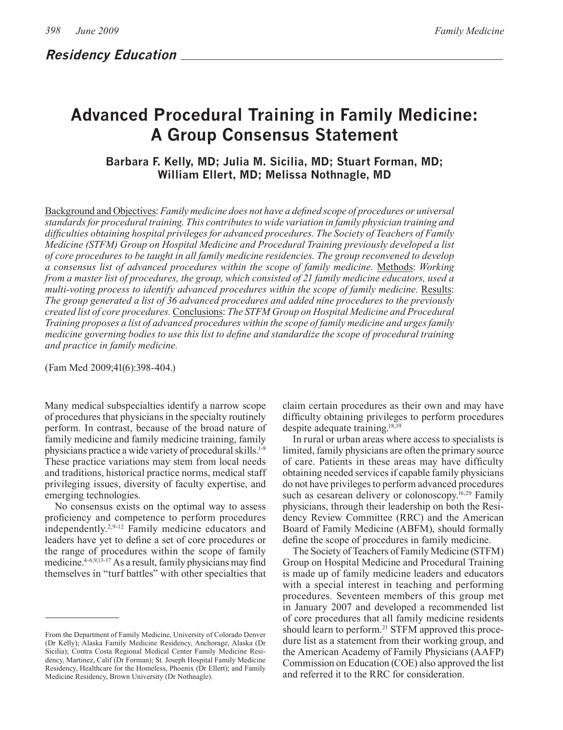# **Advanced Procedural Training in Family Medicine: A Group Consensus Statement**

# **Barbara F. Kelly, MD; Julia M. Sicilia, MD; Stuart Forman, MD; William Ellert, MD; Melissa Nothnagle, MD**

Background and Objectives: *Family medicine does not have a defined scope of procedures or universal standards for procedural training. This contributes to wide variation in family physician training and difficulties obtaining hospital privileges for advanced procedures. The Society of Teachers of Family Medicine (STFM) Group on Hospital Medicine and Procedural Training previously developed a list of core procedures to be taught in all family medicine residencies. The group reconvened to develop a consensus list of advanced procedures within the scope of family medicine.* Methods: *Working from a master list of procedures, the group, which consisted of 21 family medicine educators, used a multi-voting process to identify advanced procedures within the scope of family medicine.* Results: *The group generated a list of 36 advanced procedures and added nine procedures to the previously created list of core procedures.* Conclusions: *The STFM Group on Hospital Medicine and Procedural Training proposes a list of advanced procedures within the scope of family medicine and urges family medicine governing bodies to use this list to define and standardize the scope of procedural training and practice in family medicine.*

(Fam Med 2009;41(6):398-404.)

Many medical subspecialties identify a narrow scope of procedures that physicians in the specialty routinely perform. In contrast, because of the broad nature of family medicine and family medicine training, family physicians practice a wide variety of procedural skills.<sup>1-8</sup> These practice variations may stem from local needs and traditions, historical practice norms, medical staff privileging issues, diversity of faculty expertise, and emerging technologies.

No consensus exists on the optimal way to assess proficiency and competence to perform procedures independently.2,9-12 Family medicine educators and leaders have yet to define a set of core procedures or the range of procedures within the scope of family medicine.4-6,9,13-17 As a result, family physicians may find themselves in "turf battles" with other specialties that

claim certain procedures as their own and may have difficulty obtaining privileges to perform procedures despite adequate training.18,19

In rural or urban areas where access to specialists is limited, family physicians are often the primary source of care. Patients in these areas may have difficulty obtaining needed services if capable family physicians do not have privileges to perform advanced procedures such as cesarean delivery or colonoscopy.<sup>16,20</sup> Family physicians, through their leadership on both the Residency Review Committee (RRC) and the American Board of Family Medicine (ABFM), should formally define the scope of procedures in family medicine.

The Society of Teachers of Family Medicine (STFM) Group on Hospital Medicine and Procedural Training is made up of family medicine leaders and educators with a special interest in teaching and performing procedures. Seventeen members of this group met in January 2007 and developed a recommended list of core procedures that all family medicine residents should learn to perform.<sup>21</sup> STFM approved this procedure list as a statement from their working group, and the American Academy of Family Physicians (AAFP) Commission on Education (COE) also approved the list and referred it to the RRC for consideration.

From the Department of Family Medicine, University of Colorado Denver (Dr Kelly); Alaska Family Medicine Residency, Anchorage, Alaska (Dr Sicilia); Contra Costa Regional Medical Center Family Medicine Residency, Martinez, Calif (Dr Forman); St. Joseph Hospital Family Medicine Residency, Healthcare for the Homeless, Phoenix (Dr Ellert); and Family Medicine Residency, Brown University (Dr Nothnagle).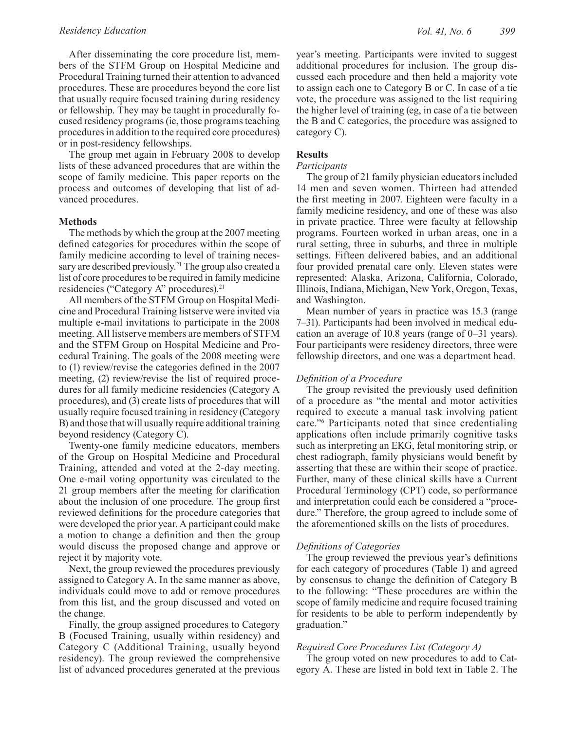After disseminating the core procedure list, members of the STFM Group on Hospital Medicine and Procedural Training turned their attention to advanced procedures. These are procedures beyond the core list that usually require focused training during residency or fellowship. They may be taught in procedurally focused residency programs (ie, those programs teaching procedures in addition to the required core procedures) or in post-residency fellowships.

The group met again in February 2008 to develop lists of these advanced procedures that are within the scope of family medicine. This paper reports on the process and outcomes of developing that list of advanced procedures.

#### **Methods**

The methods by which the group at the 2007 meeting defined categories for procedures within the scope of family medicine according to level of training necessary are described previously.<sup>21</sup> The group also created a list of core procedures to be required in family medicine residencies ("Category A" procedures).<sup>21</sup>

All members of the STFM Group on Hospital Medicine and Procedural Training listserve were invited via multiple e-mail invitations to participate in the 2008 meeting. All listserve members are members of STFM and the STFM Group on Hospital Medicine and Procedural Training. The goals of the 2008 meeting were to (1) review/revise the categories defined in the 2007 meeting, (2) review/revise the list of required procedures for all family medicine residencies (Category A procedures), and (3) create lists of procedures that will usually require focused training in residency (Category B) and those that will usually require additional training beyond residency (Category C).

Twenty-one family medicine educators, members of the Group on Hospital Medicine and Procedural Training, attended and voted at the 2-day meeting. One e-mail voting opportunity was circulated to the 21 group members after the meeting for clarification about the inclusion of one procedure. The group first reviewed definitions for the procedure categories that were developed the prior year. A participant could make a motion to change a definition and then the group would discuss the proposed change and approve or reject it by majority vote.

Next, the group reviewed the procedures previously assigned to Category A. In the same manner as above, individuals could move to add or remove procedures from this list, and the group discussed and voted on the change.

Finally, the group assigned procedures to Category B (Focused Training, usually within residency) and Category C (Additional Training, usually beyond residency). The group reviewed the comprehensive list of advanced procedures generated at the previous

year's meeting. Participants were invited to suggest additional procedures for inclusion. The group discussed each procedure and then held a majority vote to assign each one to Category B or C. In case of a tie vote, the procedure was assigned to the list requiring the higher level of training (eg, in case of a tie between the B and C categories, the procedure was assigned to category C).

#### **Results**

#### *Participants*

The group of 21 family physician educators included 14 men and seven women. Thirteen had attended the first meeting in 2007. Eighteen were faculty in a family medicine residency, and one of these was also in private practice. Three were faculty at fellowship programs. Fourteen worked in urban areas, one in a rural setting, three in suburbs, and three in multiple settings. Fifteen delivered babies, and an additional four provided prenatal care only. Eleven states were represented: Alaska, Arizona, California, Colorado, Illinois, Indiana, Michigan, New York, Oregon, Texas, and Washington.

Mean number of years in practice was 15.3 (range 7–31). Participants had been involved in medical education an average of 10.8 years (range of 0–31 years). Four participants were residency directors, three were fellowship directors, and one was a department head.

#### *Definition of a Procedure*

The group revisited the previously used definition of a procedure as "the mental and motor activities required to execute a manual task involving patient care."6 Participants noted that since credentialing applications often include primarily cognitive tasks such as interpreting an EKG, fetal monitoring strip, or chest radiograph, family physicians would benefit by asserting that these are within their scope of practice. Further, many of these clinical skills have a Current Procedural Terminology (CPT) code, so performance and interpretation could each be considered a "procedure." Therefore, the group agreed to include some of the aforementioned skills on the lists of procedures.

#### *Definitions of Categories*

The group reviewed the previous year's definitions for each category of procedures (Table 1) and agreed by consensus to change the definition of Category B to the following: "These procedures are within the scope of family medicine and require focused training for residents to be able to perform independently by graduation."

#### *Required Core Procedures List (Category A)*

The group voted on new procedures to add to Category A. These are listed in bold text in Table 2. The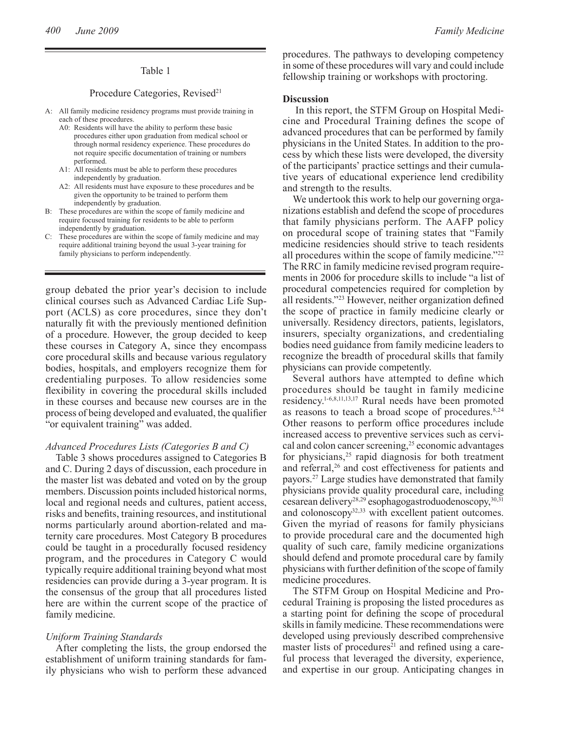#### Table 1

#### Procedure Categories, Revised<sup>21</sup>

- A: All family medicine residency programs must provide training in each of these procedures.
	- A0: Residents will have the ability to perform these basic procedures either upon graduation from medical school or through normal residency experience. These procedures do not require specific documentation of training or numbers performed.
	- A1: All residents must be able to perform these procedures independently by graduation.
	- A2: All residents must have exposure to these procedures and be given the opportunity to be trained to perform them independently by graduation.
- B: These procedures are within the scope of family medicine and require focused training for residents to be able to perform independently by graduation.
- C: These procedures are within the scope of family medicine and may require additional training beyond the usual 3-year training for family physicians to perform independently.

group debated the prior year's decision to include clinical courses such as Advanced Cardiac Life Support (ACLS) as core procedures, since they don't naturally fit with the previously mentioned definition of a procedure. However, the group decided to keep these courses in Category A, since they encompass core procedural skills and because various regulatory bodies, hospitals, and employers recognize them for credentialing purposes. To allow residencies some flexibility in covering the procedural skills included in these courses and because new courses are in the process of being developed and evaluated, the qualifier "or equivalent training" was added.

#### *Advanced Procedures Lists (Categories B and C)*

Table 3 shows procedures assigned to Categories B and C. During 2 days of discussion, each procedure in the master list was debated and voted on by the group members. Discussion points included historical norms, local and regional needs and cultures, patient access, risks and benefits, training resources, and institutional norms particularly around abortion-related and maternity care procedures. Most Category B procedures could be taught in a procedurally focused residency program, and the procedures in Category C would typically require additional training beyond what most residencies can provide during a 3-year program. It is the consensus of the group that all procedures listed here are within the current scope of the practice of family medicine.

#### *Uniform Training Standards*

After completing the lists, the group endorsed the establishment of uniform training standards for family physicians who wish to perform these advanced procedures. The pathways to developing competency in some of these procedures will vary and could include fellowship training or workshops with proctoring.

#### **Discussion**

 In this report, the STFM Group on Hospital Medicine and Procedural Training defines the scope of advanced procedures that can be performed by family physicians in the United States. In addition to the process by which these lists were developed, the diversity of the participants' practice settings and their cumulative years of educational experience lend credibility and strength to the results.

We undertook this work to help our governing organizations establish and defend the scope of procedures that family physicians perform. The AAFP policy on procedural scope of training states that "Family medicine residencies should strive to teach residents all procedures within the scope of family medicine."22 The RRC in family medicine revised program requirements in 2006 for procedure skills to include "a list of procedural competencies required for completion by all residents."23 However, neither organization defined the scope of practice in family medicine clearly or universally. Residency directors, patients, legislators, insurers, specialty organizations, and credentialing bodies need guidance from family medicine leaders to recognize the breadth of procedural skills that family physicians can provide competently.

Several authors have attempted to define which procedures should be taught in family medicine residency.1-6,8,11,13,17 Rural needs have been promoted as reasons to teach a broad scope of procedures.<sup>8,24</sup> Other reasons to perform office procedures include increased access to preventive services such as cervical and colon cancer screening,25 economic advantages for physicians,<sup>25</sup> rapid diagnosis for both treatment and referral,<sup>26</sup> and cost effectiveness for patients and payors.27 Large studies have demonstrated that family physicians provide quality procedural care, including cesarean delivery28,29 esophagogastroduodenoscopy,30,31 and colonoscopy<sup>32,33</sup> with excellent patient outcomes. Given the myriad of reasons for family physicians to provide procedural care and the documented high quality of such care, family medicine organizations should defend and promote procedural care by family physicians with further definition of the scope of family medicine procedures.

The STFM Group on Hospital Medicine and Procedural Training is proposing the listed procedures as a starting point for defining the scope of procedural skills in family medicine. These recommendations were developed using previously described comprehensive master lists of procedures<sup>21</sup> and refined using a careful process that leveraged the diversity, experience, and expertise in our group. Anticipating changes in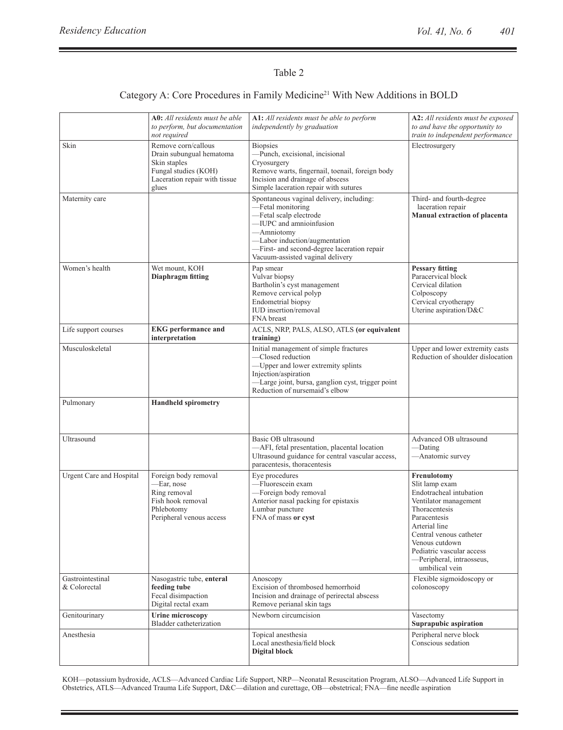# Table 2

## Category A: Core Procedures in Family Medicine<sup>21</sup> With New Additions in BOLD

|                                  | A0: All residents must be able<br>to perform, but documentation<br>not required                                                   | A1: All residents must be able to perform<br>independently by graduation                                                                                                                                                                             | A2: All residents must be exposed<br>to and have the opportunity to<br>train to independent performance                                                                                                                                                      |
|----------------------------------|-----------------------------------------------------------------------------------------------------------------------------------|------------------------------------------------------------------------------------------------------------------------------------------------------------------------------------------------------------------------------------------------------|--------------------------------------------------------------------------------------------------------------------------------------------------------------------------------------------------------------------------------------------------------------|
| Skin                             | Remove corn/callous<br>Drain subungual hematoma<br>Skin staples<br>Fungal studies (KOH)<br>Laceration repair with tissue<br>glues | <b>Biopsies</b><br>-Punch, excisional, incisional<br>Cryosurgery<br>Remove warts, fingernail, toenail, foreign body<br>Incision and drainage of abscess<br>Simple laceration repair with sutures                                                     | Electrosurgery                                                                                                                                                                                                                                               |
| Maternity care                   |                                                                                                                                   | Spontaneous vaginal delivery, including:<br>-Fetal monitoring<br>-Fetal scalp electrode<br>-IUPC and amnioinfusion<br>-Amniotomy<br>-Labor induction/augmentation<br>-First- and second-degree laceration repair<br>Vacuum-assisted vaginal delivery | Third- and fourth-degree<br>laceration repair<br>Manual extraction of placenta                                                                                                                                                                               |
| Women's health                   | Wet mount, KOH<br><b>Diaphragm fitting</b>                                                                                        | Pap smear<br>Vulvar biopsy<br>Bartholin's cyst management<br>Remove cervical polyp<br>Endometrial biopsy<br>IUD insertion/removal<br>FNA breast                                                                                                      | <b>Pessary fitting</b><br>Paracervical block<br>Cervical dilation<br>Colposcopy<br>Cervical cryotherapy<br>Uterine aspiration/D&C                                                                                                                            |
| Life support courses             | <b>EKG</b> performance and<br>interpretation                                                                                      | ACLS, NRP, PALS, ALSO, ATLS (or equivalent<br>training)                                                                                                                                                                                              |                                                                                                                                                                                                                                                              |
| Musculoskeletal                  |                                                                                                                                   | Initial management of simple fractures<br>-Closed reduction<br>-Upper and lower extremity splints<br>Injection/aspiration<br>-Large joint, bursa, ganglion cyst, trigger point<br>Reduction of nursemaid's elbow                                     | Upper and lower extremity casts<br>Reduction of shoulder dislocation                                                                                                                                                                                         |
| Pulmonary                        | <b>Handheld spirometry</b>                                                                                                        |                                                                                                                                                                                                                                                      |                                                                                                                                                                                                                                                              |
| Ultrasound                       |                                                                                                                                   | Basic OB ultrasound<br>-AFI, fetal presentation, placental location<br>Ultrasound guidance for central vascular access,<br>paracentesis, thoracentesis                                                                                               | Advanced OB ultrasound<br>—Dating<br>-Anatomic survey                                                                                                                                                                                                        |
| <b>Urgent Care and Hospital</b>  | Foreign body removal<br>-Ear, nose<br>Ring removal<br>Fish hook removal<br>Phlebotomy<br>Peripheral venous access                 | Eye procedures<br>-Fluorescein exam<br>-Foreign body removal<br>Anterior nasal packing for epistaxis<br>Lumbar puncture<br>FNA of mass or cyst                                                                                                       | Frenulotomy<br>Slit lamp exam<br>Endotracheal intubation<br>Ventilator management<br>Thoracentesis<br>Paracentesis<br>Arterial line<br>Central venous catheter<br>Venous cutdown<br>Pediatric vascular access<br>-Peripheral, intraosseus,<br>umbilical vein |
| Gastrointestinal<br>& Colorectal | Nasogastric tube, enteral<br>feeding tube<br>Fecal disimpaction<br>Digital rectal exam                                            | Anoscopy<br>Excision of thrombosed hemorrhoid<br>Incision and drainage of perirectal abscess<br>Remove perianal skin tags                                                                                                                            | Flexible sigmoidoscopy or<br>colonoscopy                                                                                                                                                                                                                     |
| Genitourinary                    | <b>Urine microscopy</b><br>Bladder catheterization                                                                                | Newborn circumcision                                                                                                                                                                                                                                 | Vasectomy<br>Suprapubic aspiration                                                                                                                                                                                                                           |
| Anesthesia                       |                                                                                                                                   | Topical anesthesia<br>Local anesthesia/field block<br><b>Digital block</b>                                                                                                                                                                           | Peripheral nerve block<br>Conscious sedation                                                                                                                                                                                                                 |

KOH—potassium hydroxide, ACLS—Advanced Cardiac Life Support, NRP—Neonatal Resuscitation Program, ALSO—Advanced Life Support in Obstetrics, ATLS—Advanced Trauma Life Support, D&C—dilation and curettage, OB—obstetrical; FNA—fine needle aspiration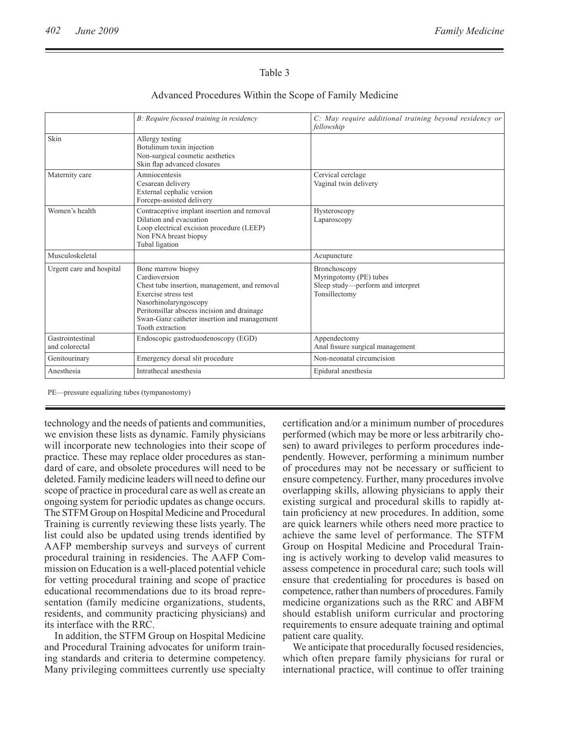### Table 3

### Advanced Procedures Within the Scope of Family Medicine

|                                    | B: Require focused training in residency                                                                                                                                                                                                                | C: May require additional training beyond residency or<br>fellowship                         |
|------------------------------------|---------------------------------------------------------------------------------------------------------------------------------------------------------------------------------------------------------------------------------------------------------|----------------------------------------------------------------------------------------------|
| Skin                               | Allergy testing<br>Botulinum toxin injection<br>Non-surgical cosmetic aesthetics<br>Skin flap advanced closures                                                                                                                                         |                                                                                              |
| Maternity care                     | Amniocentesis<br>Cesarean delivery<br>External cephalic version<br>Forceps-assisted delivery                                                                                                                                                            | Cervical cerclage<br>Vaginal twin delivery                                                   |
| Women's health                     | Contraceptive implant insertion and removal<br>Dilation and evacuation<br>Loop electrical excision procedure (LEEP)<br>Non FNA breast biopsy<br>Tubal ligation                                                                                          | Hysteroscopy<br>Laparoscopy                                                                  |
| Musculoskeletal                    |                                                                                                                                                                                                                                                         | Acupuncture                                                                                  |
| Urgent care and hospital           | Bone marrow biopsy<br>Cardioversion<br>Chest tube insertion, management, and removal<br>Exercise stress test<br>Nasorhinolaryngoscopy<br>Peritonsillar abscess incision and drainage<br>Swan-Ganz catheter insertion and management<br>Tooth extraction | Bronchoscopy<br>Myringotomy (PE) tubes<br>Sleep study—perform and interpret<br>Tonsillectomy |
| Gastrointestinal<br>and colorectal | Endoscopic gastroduodenoscopy (EGD)                                                                                                                                                                                                                     | Appendectomy<br>Anal fissure surgical management                                             |
| Genitourinary                      | Emergency dorsal slit procedure                                                                                                                                                                                                                         | Non-neonatal circumcision                                                                    |
| Anesthesia                         | Intrathecal anesthesia                                                                                                                                                                                                                                  | Epidural anesthesia                                                                          |

PE—pressure equalizing tubes (tympanostomy)

technology and the needs of patients and communities, we envision these lists as dynamic. Family physicians will incorporate new technologies into their scope of practice. These may replace older procedures as standard of care, and obsolete procedures will need to be deleted. Family medicine leaders will need to define our scope of practice in procedural care as well as create an ongoing system for periodic updates as change occurs. The STFM Group on Hospital Medicine and Procedural Training is currently reviewing these lists yearly. The list could also be updated using trends identified by AAFP membership surveys and surveys of current procedural training in residencies. The AAFP Commission on Education is a well-placed potential vehicle for vetting procedural training and scope of practice educational recommendations due to its broad representation (family medicine organizations, students, residents, and community practicing physicians) and its interface with the RRC.

In addition, the STFM Group on Hospital Medicine and Procedural Training advocates for uniform training standards and criteria to determine competency. Many privileging committees currently use specialty certification and/or a minimum number of procedures performed (which may be more or less arbitrarily chosen) to award privileges to perform procedures independently. However, performing a minimum number of procedures may not be necessary or sufficient to ensure competency. Further, many procedures involve overlapping skills, allowing physicians to apply their existing surgical and procedural skills to rapidly attain proficiency at new procedures. In addition, some are quick learners while others need more practice to achieve the same level of performance. The STFM Group on Hospital Medicine and Procedural Training is actively working to develop valid measures to assess competence in procedural care; such tools will ensure that credentialing for procedures is based on competence, rather than numbers of procedures. Family medicine organizations such as the RRC and ABFM should establish uniform curricular and proctoring requirements to ensure adequate training and optimal patient care quality.

We anticipate that procedurally focused residencies, which often prepare family physicians for rural or international practice, will continue to offer training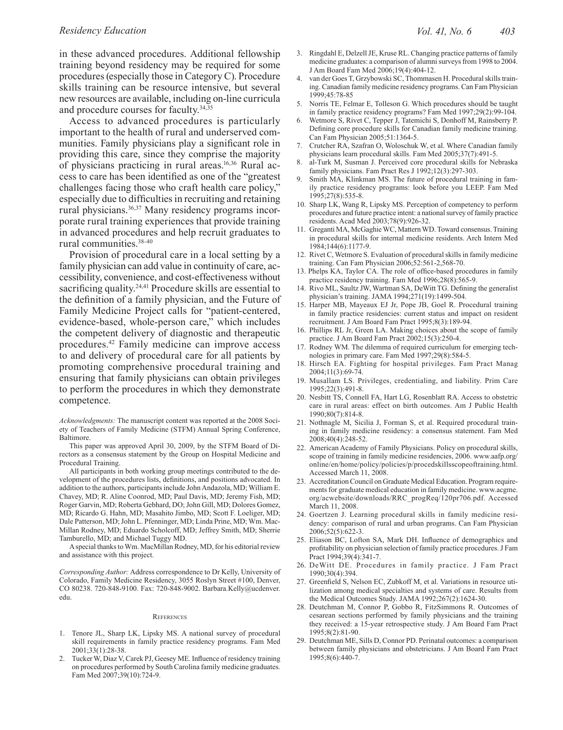in these advanced procedures. Additional fellowship training beyond residency may be required for some procedures (especially those in Category C). Procedure skills training can be resource intensive, but several new resources are available, including on-line curricula and procedure courses for faculty.34,35

Access to advanced procedures is particularly important to the health of rural and underserved communities. Family physicians play a significant role in providing this care, since they comprise the majority of physicians practicing in rural areas.<sup>16,36</sup> Rural access to care has been identified as one of the "greatest challenges facing those who craft health care policy," especially due to difficulties in recruiting and retaining rural physicians.<sup>36,37</sup> Many residency programs incorporate rural training experiences that provide training in advanced procedures and help recruit graduates to rural communities.38-40

Provision of procedural care in a local setting by a family physician can add value in continuity of care, accessibility, convenience, and cost-effectiveness without sacrificing quality.<sup>24,41</sup> Procedure skills are essential to the definition of a family physician, and the Future of Family Medicine Project calls for "patient-centered, evidence-based, whole-person care," which includes the competent delivery of diagnostic and therapeutic procedures.42 Family medicine can improve access to and delivery of procedural care for all patients by promoting comprehensive procedural training and ensuring that family physicians can obtain privileges to perform the procedures in which they demonstrate competence.

*Acknowledgments:* The manuscript content was reported at the 2008 Society of Teachers of Family Medicine (STFM) Annual Spring Conference, Baltimore.

This paper was approved April 30, 2009, by the STFM Board of Directors as a consensus statement by the Group on Hospital Medicine and Procedural Training.

All participants in both working group meetings contributed to the development of the procedures lists, definitions, and positions advocated. In addition to the authors, participants include John Andazola, MD; William E. Chavey, MD; R. Aline Coonrod, MD; Paul Davis, MD; Jeremy Fish, MD; Roger Garvin, MD; Roberta Gebhard, DO; John Gill, MD; Dolores Gomez, MD; Ricardo G. Hahn, MD; Masahito Jimbo, MD; Scott F. Loeliger, MD; Dale Patterson, MD; John L. Pfenninger, MD; Linda Prine, MD; Wm. Mac-Millan Rodney, MD; Eduardo Scholcoff, MD; Jeffrey Smith, MD; Sherrie Tamburello, MD; and Michael Tuggy MD.

A special thanks to Wm. MacMillan Rodney, MD, for his editorial review and assistance with this project.

*Corresponding Author:* Address correspondence to Dr Kelly, University of Colorado, Family Medicine Residency, 3055 Roslyn Street #100, Denver, CO 80238. 720-848-9100. Fax: 720-848-9002. Barbara.Kelly@ucdenver. edu.

#### **REFERENCES**

- 1. Tenore JL, Sharp LK, Lipsky MS. A national survey of procedural skill requirements in family practice residency programs. Fam Med 2001;33(1):28-38.
- 2. Tucker W, Diaz V, Carek PJ, Geesey ME. Influence of residency training on procedures performed by South Carolina family medicine graduates. Fam Med 2007;39(10):724-9.
- 3. Ringdahl E, Delzell JE, Kruse RL. Changing practice patterns of family medicine graduates: a comparison of alumni surveys from 1998 to 2004. J Am Board Fam Med 2006;19(4):404-12.
- 4. van der Goes T, Grzybowski SC, Thommasen H. Procedural skills training. Canadian family medicine residency programs. Can Fam Physician 1999;45:78-85
- 5. Norris TE, Felmar E, Tolleson G. Which procedures should be taught in family practice residency programs? Fam Med 1997;29(2):99-104.
- 6. Wetmore S, Rivet C, Tepper J, Tatemichi S, Donhoff M, Rainsberry P. Defining core procedure skills for Canadian family medicine training. Can Fam Physician 2005;51:1364-5.
- 7. Crutcher RA, Szafran O, Woloschuk W, et al. Where Canadian family physicians learn procedural skills. Fam Med 2005;37(7):491-5.
- al-Turk M, Susman J. Perceived core procedural skills for Nebraska family physicians. Fam Pract Res J 1992;12(3):297-303.
- Smith MA, Klinkman MS. The future of procedural training in family practice residency programs: look before you LEEP. Fam Med 1995;27(8):535-8.
- 10. Sharp LK, Wang R, Lipsky MS. Perception of competency to perform procedures and future practice intent: a national survey of family practice residents. Acad Med 2003;78(9):926-32.
- 11. Greganti MA, McGaghie WC, Mattern WD. Toward consensus. Training in procedural skills for internal medicine residents. Arch Intern Med 1984;144(6):1177-9.
- 12. Rivet C, Wetmore S. Evaluation of procedural skills in family medicine training. Can Fam Physician 2006;52:561-2,568-70.
- 13. Phelps KA, Taylor CA. The role of office-based procedures in family practice residency training. Fam Med 1996;28(8):565-9.
- 14. Rivo ML, Saultz JW, Wartman SA, DeWitt TG. Defining the generalist physician's training. JAMA 1994;271(19):1499-504.
- 15. Harper MB, Mayeaux EJ Jr, Pope JB, Goel R. Procedural training in family practice residencies: current status and impact on resident recruitment. J Am Board Fam Pract 1995;8(3):189-94.
- 16. Phillips RL Jr, Green LA. Making choices about the scope of family practice. J Am Board Fam Pract 2002;15(3):250-4.
- 17. Rodney WM. The dilemma of required curriculum for emerging technologies in primary care. Fam Med 1997;29(8):584-5.
- Hirsch EA. Fighting for hospital privileges. Fam Pract Manag 2004;11(3):69-74.
- 19. Musallam LS. Privileges, credentialing, and liability. Prim Care 1995;22(3):491-8.
- 20. Nesbitt TS, Connell FA, Hart LG, Rosenblatt RA. Access to obstetric care in rural areas: effect on birth outcomes. Am J Public Health 1990;80(7):814-8.
- 21. Nothnagle M, Sicilia J, Forman S, et al. Required procedural training in family medicine residency: a consensus statement. Fam Med 2008;40(4):248-52.
- 22. American Academy of Family Physicians. Policy on procedural skills, scope of training in family medicine residencies, 2006. www.aafp.org/ online/en/home/policy/policies/p/procedskillsscopeoftraining.html. Accessed March 11, 2008.
- 23. Accreditation Council on Graduate Medical Education. Program requirements for graduate medical education in family medicine. www.acgme. org/acwebsite/downloads/RRC\_progReq/120pr706.pdf. Accessed March 11, 2008.
- 24. Goertzen J. Learning procedural skills in family medicine residency: comparison of rural and urban programs. Can Fam Physician 2006;52(5):622-3.
- 25. Eliason BC, Lofton SA, Mark DH. Influence of demographics and profitability on physician selection of family practice procedures. J Fam Pract 1994;39(4):341-7.
- 26. DeWitt DE. Procedures in family practice. J Fam Pract 1990;30(4):394.
- 27. Greenfield S, Nelson EC, Zubkoff M, et al. Variations in resource utilization among medical specialties and systems of care. Results from the Medical Outcomes Study. JAMA 1992;267(2):1624-30.
- 28. Deutchman M, Connor P, Gobbo R, FitzSimmons R. Outcomes of cesarean sections performed by family physicians and the training they received: a 15-year retrospective study. J Am Board Fam Pract 1995;8(2):81-90.
- 29. Deutchman ME, Sills D, Connor PD. Perinatal outcomes: a comparison between family physicians and obstetricians. J Am Board Fam Pract 1995;8(6):440-7.